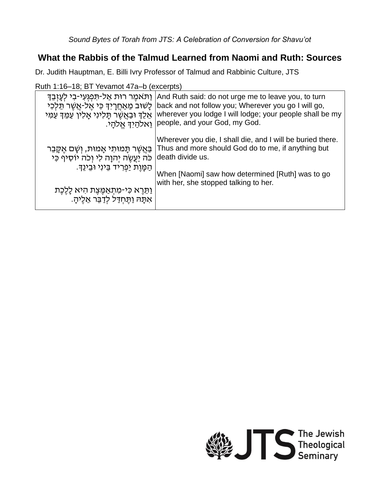## **What the Rabbis of the Talmud Learned from Naomi and Ruth: Sources**

Dr. Judith Hauptman, E. Billi Ivry Professor of Talmud and Rabbinic Culture, JTS

Ruth 1:16–18; BT Yevamot 47a–b (excerpts)

| וַתּאמֵר רוּת אַל-תִּפְגִּעִי-בִי לִעָזָבֵךְ<br>ַלַשׁוּבֹ מֵאַחֲרָיִךְ כִּי אֱל-אֲשֶׁר תֵּלְכִי<br>אֵלֵךְ וּבַאֲשֶׁר תָּלִינִי אָלִין עַמֵּךְ עַמִּי | And Ruth said: do not urge me to leave you, to turn<br>back and not follow you; Wherever you go I will go,<br>wherever you lodge I will lodge; your people shall be my<br>ַיאלהַיִךְ אֱלֹהָי.  people, and your God, my God. |
|------------------------------------------------------------------------------------------------------------------------------------------------------|------------------------------------------------------------------------------------------------------------------------------------------------------------------------------------------------------------------------------|
| ַבַּאֲשֶׁר תָּמוּתִי אָמוּת, וְשָׁם אֵקֶּבֵר                                                                                                         | Wherever you die, I shall die, and I will be buried there.                                                                                                                                                                   |
| כֹּה יַעֲשֵׂה יִהוָה לִי וְכֹה יוֹסִיף כִּי                                                                                                          | Thus and more should God do to me, if anything but                                                                                                                                                                           |
| ְהַמֲוֵת יַפְרִיד בֵּינִי וּבֵינֵךָ.                                                                                                                 | death divide us.                                                                                                                                                                                                             |
| וַתֵּרֶא כִּי-מִתְאַמֶּצֶת הִיא לָלֶכֶת                                                                                                              | When [Naomi] saw how determined [Ruth] was to go                                                                                                                                                                             |
| אִתַּה וַתֵּחִדַּל לִדַּבֵּר אֵלֵיהָ.                                                                                                                | with her, she stopped talking to her.                                                                                                                                                                                        |